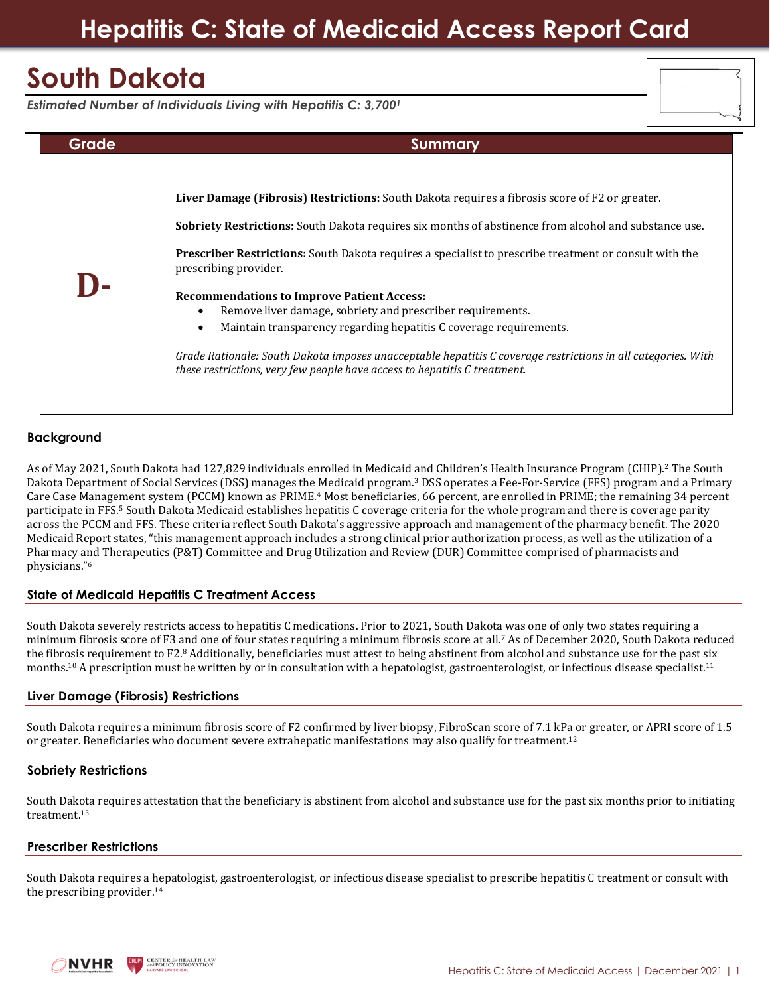## **Hepatitis C: State of Medicaid Access Report Card**

# **South Dakota**

|  | Estimated Number of Individuals Living with Hepatitis C: 3,7001 |  |  |  |  |
|--|-----------------------------------------------------------------|--|--|--|--|
|  |                                                                 |  |  |  |  |

| Grade | Summary                                                                                                                                                                                                                                                                                                                                                                                                                                                                                                                                                                                                                                                                                                                                        |
|-------|------------------------------------------------------------------------------------------------------------------------------------------------------------------------------------------------------------------------------------------------------------------------------------------------------------------------------------------------------------------------------------------------------------------------------------------------------------------------------------------------------------------------------------------------------------------------------------------------------------------------------------------------------------------------------------------------------------------------------------------------|
|       | Liver Damage (Fibrosis) Restrictions: South Dakota requires a fibrosis score of F2 or greater.<br><b>Sobriety Restrictions:</b> South Dakota requires six months of abstinence from alcohol and substance use.<br><b>Prescriber Restrictions:</b> South Dakota requires a specialist to prescribe treatment or consult with the<br>prescribing provider.<br><b>Recommendations to Improve Patient Access:</b><br>Remove liver damage, sobriety and prescriber requirements.<br>Maintain transparency regarding hepatitis C coverage requirements.<br>Grade Rationale: South Dakota imposes unacceptable hepatitis C coverage restrictions in all categories. With<br>these restrictions, very few people have access to hepatitis C treatment. |

## **Background**

As of May 2021, South Dakota had 127,829 individuals enrolled in Medicaid and Children's Health Insurance Program (CHIP). <sup>2</sup> The South Dakota Department of Social Services (DSS) manages the Medicaid program.<sup>3</sup> DSS operates a Fee-For-Service (FFS) program and a Primary Care Case Management system (PCCM) known as PRIME.<sup>4</sup> Most beneficiaries, 66 percent, are enrolled in PRIME; the remaining 34 percent participate in FFS.<sup>5</sup> South Dakota Medicaid establishes hepatitis C coverage criteria for the whole program and there is coverage parity across the PCCM and FFS. These criteria reflect South Dakota's aggressive approach and management of the pharmacy benefit. The 2020 Medicaid Report states, "this management approach includes a strong clinical prior authorization process, as well as the utilization of a Pharmacy and Therapeutics (P&T) Committee and Drug Utilization and Review (DUR) Committee comprised of pharmacists and physicians."<sup>6</sup>

## **State of Medicaid Hepatitis C Treatment Access**

South Dakota severely restricts access to hepatitis C medications. Prior to 2021, South Dakota was one of only two states requiring a minimum fibrosis score of F3 and one of four states requiring a minimum fibrosis score at all. <sup>7</sup> As of December 2020, South Dakota reduced the fibrosis requirement to F2.8 Additionally, beneficiaries must attest to being abstinent from alcohol and substance use for the past six months.<sup>10</sup> A prescription must be written by or in consultation with a hepatologist, gastroenterologist, or infectious disease specialist.<sup>11</sup>

#### **Liver Damage (Fibrosis) Restrictions**

South Dakota requires a minimum fibrosis score of F2 confirmed by liver biopsy, FibroScan score of 7.1 kPa or greater, or APRI score of 1.5 or greater. Beneficiaries who document severe extrahepatic manifestations may also qualify for treatment.<sup>12</sup>

#### **Sobriety Restrictions**

South Dakota requires attestation that the beneficiary is abstinent from alcohol and substance use for the past six months prior to initiating treatment. 13

#### **Prescriber Restrictions**

South Dakota requires a hepatologist, gastroenterologist, or infectious disease specialist to prescribe hepatitis C treatment or consult with the prescribing provider. 14